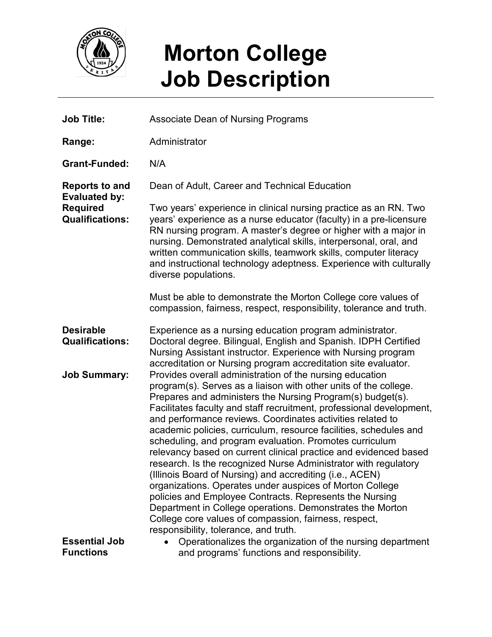

## **Morton College Job Description**

| <b>Job Title:</b>                                                                          | <b>Associate Dean of Nursing Programs</b>                                                                                                                                                                                                                                                                                                                                                                                                                                                                                                                                                                                                                                                                                                                                                                                                                                                                                                                 |
|--------------------------------------------------------------------------------------------|-----------------------------------------------------------------------------------------------------------------------------------------------------------------------------------------------------------------------------------------------------------------------------------------------------------------------------------------------------------------------------------------------------------------------------------------------------------------------------------------------------------------------------------------------------------------------------------------------------------------------------------------------------------------------------------------------------------------------------------------------------------------------------------------------------------------------------------------------------------------------------------------------------------------------------------------------------------|
| Range:                                                                                     | Administrator                                                                                                                                                                                                                                                                                                                                                                                                                                                                                                                                                                                                                                                                                                                                                                                                                                                                                                                                             |
| <b>Grant-Funded:</b>                                                                       | N/A                                                                                                                                                                                                                                                                                                                                                                                                                                                                                                                                                                                                                                                                                                                                                                                                                                                                                                                                                       |
| <b>Reports to and</b><br><b>Evaluated by:</b><br><b>Required</b><br><b>Qualifications:</b> | Dean of Adult, Career and Technical Education                                                                                                                                                                                                                                                                                                                                                                                                                                                                                                                                                                                                                                                                                                                                                                                                                                                                                                             |
|                                                                                            | Two years' experience in clinical nursing practice as an RN. Two<br>years' experience as a nurse educator (faculty) in a pre-licensure<br>RN nursing program. A master's degree or higher with a major in<br>nursing. Demonstrated analytical skills, interpersonal, oral, and<br>written communication skills, teamwork skills, computer literacy<br>and instructional technology adeptness. Experience with culturally<br>diverse populations.                                                                                                                                                                                                                                                                                                                                                                                                                                                                                                          |
|                                                                                            | Must be able to demonstrate the Morton College core values of<br>compassion, fairness, respect, responsibility, tolerance and truth.                                                                                                                                                                                                                                                                                                                                                                                                                                                                                                                                                                                                                                                                                                                                                                                                                      |
| <b>Desirable</b><br><b>Qualifications:</b>                                                 | Experience as a nursing education program administrator.<br>Doctoral degree. Bilingual, English and Spanish. IDPH Certified<br>Nursing Assistant instructor. Experience with Nursing program<br>accreditation or Nursing program accreditation site evaluator.                                                                                                                                                                                                                                                                                                                                                                                                                                                                                                                                                                                                                                                                                            |
| <b>Job Summary:</b>                                                                        | Provides overall administration of the nursing education<br>program(s). Serves as a liaison with other units of the college.<br>Prepares and administers the Nursing Program(s) budget(s).<br>Facilitates faculty and staff recruitment, professional development,<br>and performance reviews. Coordinates activities related to<br>academic policies, curriculum, resource facilities, schedules and<br>scheduling, and program evaluation. Promotes curriculum<br>relevancy based on current clinical practice and evidenced based<br>research. Is the recognized Nurse Administrator with regulatory<br>(Illinois Board of Nursing) and accrediting (i.e., ACEN)<br>organizations. Operates under auspices of Morton College<br>policies and Employee Contracts. Represents the Nursing<br>Department in College operations. Demonstrates the Morton<br>College core values of compassion, fairness, respect,<br>responsibility, tolerance, and truth. |
| <b>Essential Job</b><br><b>Functions</b>                                                   | Operationalizes the organization of the nursing department<br>and programs' functions and responsibility.                                                                                                                                                                                                                                                                                                                                                                                                                                                                                                                                                                                                                                                                                                                                                                                                                                                 |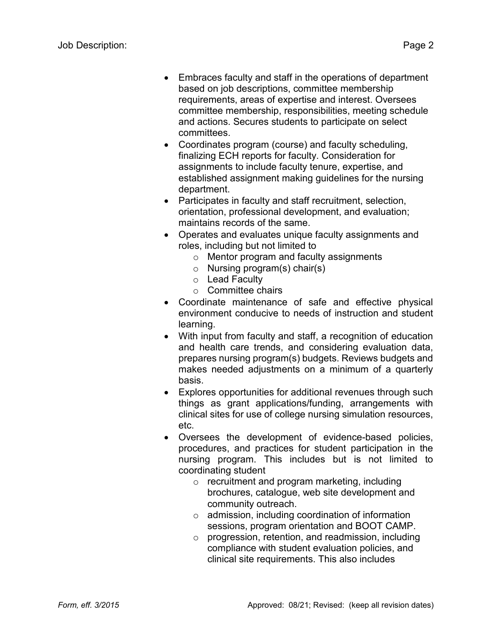- Embraces faculty and staff in the operations of department based on job descriptions, committee membership requirements, areas of expertise and interest. Oversees committee membership, responsibilities, meeting schedule and actions. Secures students to participate on select committees.
- Coordinates program (course) and faculty scheduling, finalizing ECH reports for faculty. Consideration for assignments to include faculty tenure, expertise, and established assignment making guidelines for the nursing department.
- Participates in faculty and staff recruitment, selection, orientation, professional development, and evaluation; maintains records of the same.
- Operates and evaluates unique faculty assignments and roles, including but not limited to
	- o Mentor program and faculty assignments
	- o Nursing program(s) chair(s)
	- o Lead Faculty
	- o Committee chairs
- Coordinate maintenance of safe and effective physical environment conducive to needs of instruction and student learning.
- With input from faculty and staff, a recognition of education and health care trends, and considering evaluation data, prepares nursing program(s) budgets. Reviews budgets and makes needed adjustments on a minimum of a quarterly basis.
- Explores opportunities for additional revenues through such things as grant applications/funding, arrangements with clinical sites for use of college nursing simulation resources, etc.
- Oversees the development of evidence-based policies, procedures, and practices for student participation in the nursing program. This includes but is not limited to coordinating student
	- o recruitment and program marketing, including brochures, catalogue, web site development and community outreach.
	- o admission, including coordination of information sessions, program orientation and BOOT CAMP.
	- o progression, retention, and readmission, including compliance with student evaluation policies, and clinical site requirements. This also includes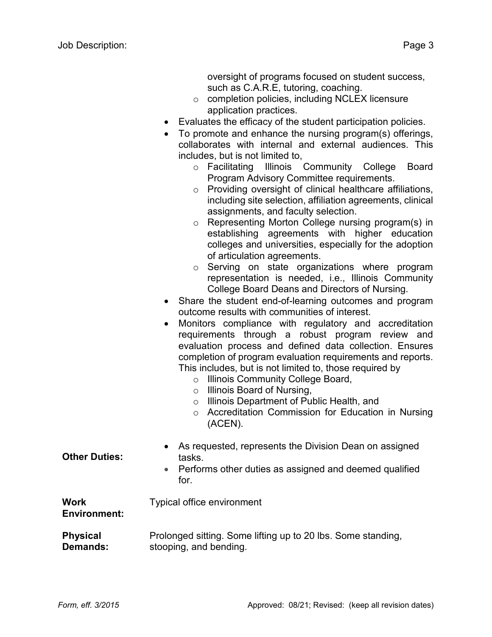oversight of programs focused on student success, such as C.A.R.E, tutoring, coaching.

- o completion policies, including NCLEX licensure application practices.
- Evaluates the efficacy of the student participation policies.
- To promote and enhance the nursing program(s) offerings, collaborates with internal and external audiences. This includes, but is not limited to,
	- o Facilitating Illinois Community College Board Program Advisory Committee requirements.
	- o Providing oversight of clinical healthcare affiliations, including site selection, affiliation agreements, clinical assignments, and faculty selection.
	- o Representing Morton College nursing program(s) in establishing agreements with higher education colleges and universities, especially for the adoption of articulation agreements.
	- o Serving on state organizations where program representation is needed, i.e., Illinois Community College Board Deans and Directors of Nursing.
- Share the student end-of-learning outcomes and program outcome results with communities of interest.
- Monitors compliance with regulatory and accreditation requirements through a robust program review and evaluation process and defined data collection. Ensures completion of program evaluation requirements and reports. This includes, but is not limited to, those required by
	- o Illinois Community College Board,
	- o Illinois Board of Nursing,
	- o Illinois Department of Public Health, and
	- o Accreditation Commission for Education in Nursing (ACEN).

| <b>Other Duties:</b>               | • As requested, represents the Division Dean on assigned<br>tasks.<br>• Performs other duties as assigned and deemed qualified<br>for. |
|------------------------------------|----------------------------------------------------------------------------------------------------------------------------------------|
| <b>Work</b><br><b>Environment:</b> | <b>Typical office environment</b>                                                                                                      |
| <b>Physical</b><br><b>Demands:</b> | Prolonged sitting. Some lifting up to 20 lbs. Some standing,<br>stooping, and bending.                                                 |